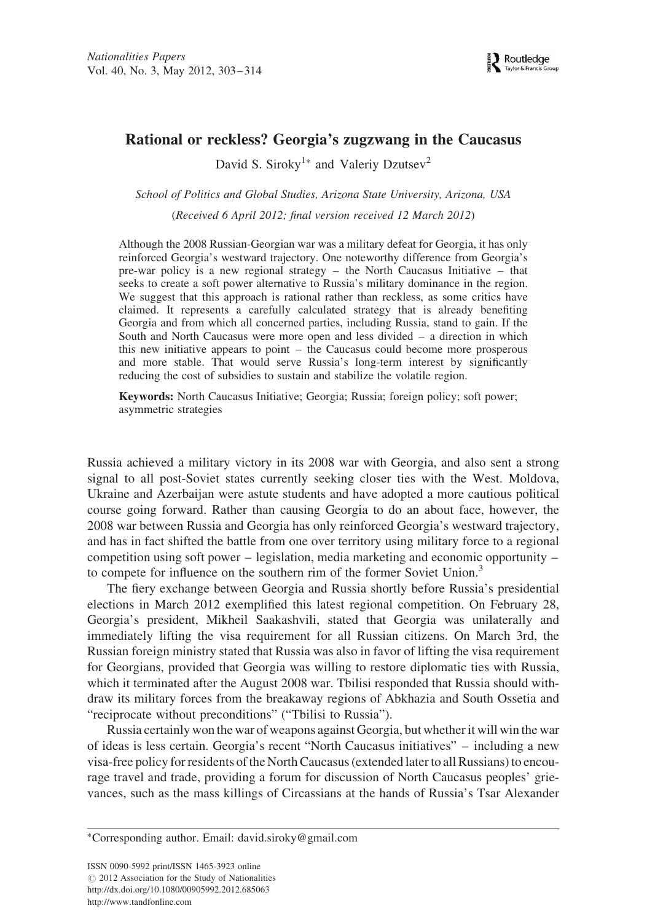# Rational or reckless? Georgia's zugzwang in the Caucasus

David S. Siroky<sup>1∗</sup> and Valeriy Dzutsev<sup>2</sup>

School of Politics and Global Studies, Arizona State University, Arizona, USA (Received 6 April 2012; final version received 12 March 2012)

Although the 2008 Russian-Georgian war was a military defeat for Georgia, it has only reinforced Georgia's westward trajectory. One noteworthy difference from Georgia's pre-war policy is a new regional strategy – the North Caucasus Initiative – that seeks to create a soft power alternative to Russia's military dominance in the region. We suggest that this approach is rational rather than reckless, as some critics have claimed. It represents a carefully calculated strategy that is already benefiting Georgia and from which all concerned parties, including Russia, stand to gain. If the South and North Caucasus were more open and less divided – a direction in which this new initiative appears to point – the Caucasus could become more prosperous and more stable. That would serve Russia's long-term interest by significantly reducing the cost of subsidies to sustain and stabilize the volatile region.

Keywords: North Caucasus Initiative; Georgia; Russia; foreign policy; soft power; asymmetric strategies

Russia achieved a military victory in its 2008 war with Georgia, and also sent a strong signal to all post-Soviet states currently seeking closer ties with the West. Moldova, Ukraine and Azerbaijan were astute students and have adopted a more cautious political course going forward. Rather than causing Georgia to do an about face, however, the 2008 war between Russia and Georgia has only reinforced Georgia's westward trajectory, and has in fact shifted the battle from one over territory using military force to a regional competition using soft power – legislation, media marketing and economic opportunity – to compete for influence on the southern rim of the former Soviet Union.<sup>3</sup>

The fiery exchange between Georgia and Russia shortly before Russia's presidential elections in March 2012 exemplified this latest regional competition. On February 28, Georgia's president, Mikheil Saakashvili, stated that Georgia was unilaterally and immediately lifting the visa requirement for all Russian citizens. On March 3rd, the Russian foreign ministry stated that Russia was also in favor of lifting the visa requirement for Georgians, provided that Georgia was willing to restore diplomatic ties with Russia, which it terminated after the August 2008 war. Tbilisi responded that Russia should withdraw its military forces from the breakaway regions of Abkhazia and South Ossetia and "reciprocate without preconditions" ("Tbilisi to Russia").

Russia certainly won the war of weapons against Georgia, but whether it will win the war of ideas is less certain. Georgia's recent "North Caucasus initiatives" – including a new visa-free policy for residents of the North Caucasus (extended later to all Russians) to encourage travel and trade, providing a forum for discussion of North Caucasus peoples' grievances, such as the mass killings of Circassians at the hands of Russia's Tsar Alexander

<sup>∗</sup>Corresponding author. Email: david.siroky@gmail.com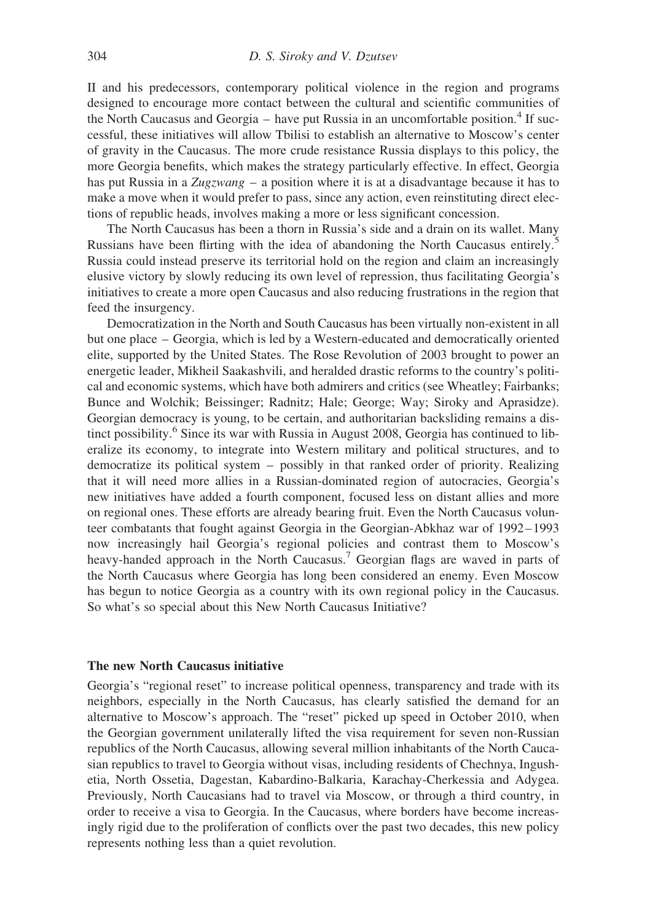II and his predecessors, contemporary political violence in the region and programs designed to encourage more contact between the cultural and scientific communities of the North Caucasus and Georgia – have put Russia in an uncomfortable position.<sup>4</sup> If successful, these initiatives will allow Tbilisi to establish an alternative to Moscow's center of gravity in the Caucasus. The more crude resistance Russia displays to this policy, the more Georgia benefits, which makes the strategy particularly effective. In effect, Georgia has put Russia in a Zugzwang – a position where it is at a disadvantage because it has to make a move when it would prefer to pass, since any action, even reinstituting direct elections of republic heads, involves making a more or less significant concession.

The North Caucasus has been a thorn in Russia's side and a drain on its wallet. Many Russians have been flirting with the idea of abandoning the North Caucasus entirely.<sup>5</sup> Russia could instead preserve its territorial hold on the region and claim an increasingly elusive victory by slowly reducing its own level of repression, thus facilitating Georgia's initiatives to create a more open Caucasus and also reducing frustrations in the region that feed the insurgency.

Democratization in the North and South Caucasus has been virtually non-existent in all but one place – Georgia, which is led by a Western-educated and democratically oriented elite, supported by the United States. The Rose Revolution of 2003 brought to power an energetic leader, Mikheil Saakashvili, and heralded drastic reforms to the country's political and economic systems, which have both admirers and critics (see Wheatley; Fairbanks; Bunce and Wolchik; Beissinger; Radnitz; Hale; George; Way; Siroky and Aprasidze). Georgian democracy is young, to be certain, and authoritarian backsliding remains a distinct possibility.<sup>6</sup> Since its war with Russia in August 2008, Georgia has continued to liberalize its economy, to integrate into Western military and political structures, and to democratize its political system – possibly in that ranked order of priority. Realizing that it will need more allies in a Russian-dominated region of autocracies, Georgia's new initiatives have added a fourth component, focused less on distant allies and more on regional ones. These efforts are already bearing fruit. Even the North Caucasus volunteer combatants that fought against Georgia in the Georgian-Abkhaz war of 1992–1993 now increasingly hail Georgia's regional policies and contrast them to Moscow's heavy-handed approach in the North Caucasus.<sup>7</sup> Georgian flags are waved in parts of the North Caucasus where Georgia has long been considered an enemy. Even Moscow has begun to notice Georgia as a country with its own regional policy in the Caucasus. So what's so special about this New North Caucasus Initiative?

#### The new North Caucasus initiative

Georgia's "regional reset" to increase political openness, transparency and trade with its neighbors, especially in the North Caucasus, has clearly satisfied the demand for an alternative to Moscow's approach. The "reset" picked up speed in October 2010, when the Georgian government unilaterally lifted the visa requirement for seven non-Russian republics of the North Caucasus, allowing several million inhabitants of the North Caucasian republics to travel to Georgia without visas, including residents of Chechnya, Ingushetia, North Ossetia, Dagestan, Kabardino-Balkaria, Karachay-Cherkessia and Adygea. Previously, North Caucasians had to travel via Moscow, or through a third country, in order to receive a visa to Georgia. In the Caucasus, where borders have become increasingly rigid due to the proliferation of conflicts over the past two decades, this new policy represents nothing less than a quiet revolution.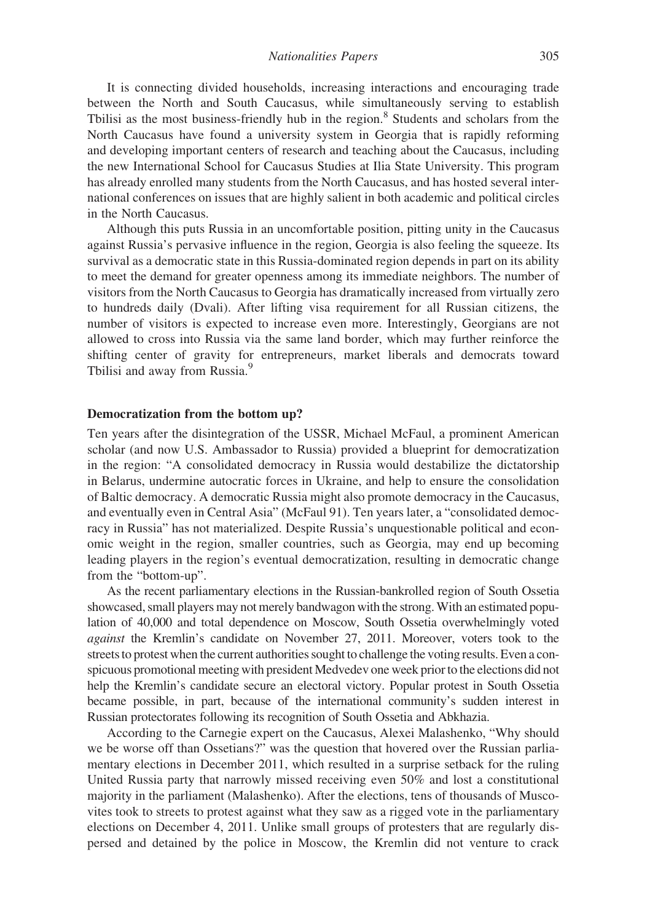It is connecting divided households, increasing interactions and encouraging trade between the North and South Caucasus, while simultaneously serving to establish Tbilisi as the most business-friendly hub in the region.<sup>8</sup> Students and scholars from the North Caucasus have found a university system in Georgia that is rapidly reforming and developing important centers of research and teaching about the Caucasus, including the new International School for Caucasus Studies at Ilia State University. This program has already enrolled many students from the North Caucasus, and has hosted several international conferences on issues that are highly salient in both academic and political circles in the North Caucasus.

Although this puts Russia in an uncomfortable position, pitting unity in the Caucasus against Russia's pervasive influence in the region, Georgia is also feeling the squeeze. Its survival as a democratic state in this Russia-dominated region depends in part on its ability to meet the demand for greater openness among its immediate neighbors. The number of visitors from the North Caucasus to Georgia has dramatically increased from virtually zero to hundreds daily (Dvali). After lifting visa requirement for all Russian citizens, the number of visitors is expected to increase even more. Interestingly, Georgians are not allowed to cross into Russia via the same land border, which may further reinforce the shifting center of gravity for entrepreneurs, market liberals and democrats toward Tbilisi and away from Russia.<sup>9</sup>

#### Democratization from the bottom up?

Ten years after the disintegration of the USSR, Michael McFaul, a prominent American scholar (and now U.S. Ambassador to Russia) provided a blueprint for democratization in the region: "A consolidated democracy in Russia would destabilize the dictatorship in Belarus, undermine autocratic forces in Ukraine, and help to ensure the consolidation of Baltic democracy. A democratic Russia might also promote democracy in the Caucasus, and eventually even in Central Asia" (McFaul 91). Ten years later, a "consolidated democracy in Russia" has not materialized. Despite Russia's unquestionable political and economic weight in the region, smaller countries, such as Georgia, may end up becoming leading players in the region's eventual democratization, resulting in democratic change from the "bottom-up".

As the recent parliamentary elections in the Russian-bankrolled region of South Ossetia showcased, small players may not merely bandwagon with the strong. With an estimated population of 40,000 and total dependence on Moscow, South Ossetia overwhelmingly voted against the Kremlin's candidate on November 27, 2011. Moreover, voters took to the streets to protest when the current authorities sought to challenge the voting results. Even a conspicuous promotional meeting with president Medvedev one week prior to the elections did not help the Kremlin's candidate secure an electoral victory. Popular protest in South Ossetia became possible, in part, because of the international community's sudden interest in Russian protectorates following its recognition of South Ossetia and Abkhazia.

According to the Carnegie expert on the Caucasus, Alexei Malashenko, "Why should we be worse off than Ossetians?" was the question that hovered over the Russian parliamentary elections in December 2011, which resulted in a surprise setback for the ruling United Russia party that narrowly missed receiving even 50% and lost a constitutional majority in the parliament (Malashenko). After the elections, tens of thousands of Muscovites took to streets to protest against what they saw as a rigged vote in the parliamentary elections on December 4, 2011. Unlike small groups of protesters that are regularly dispersed and detained by the police in Moscow, the Kremlin did not venture to crack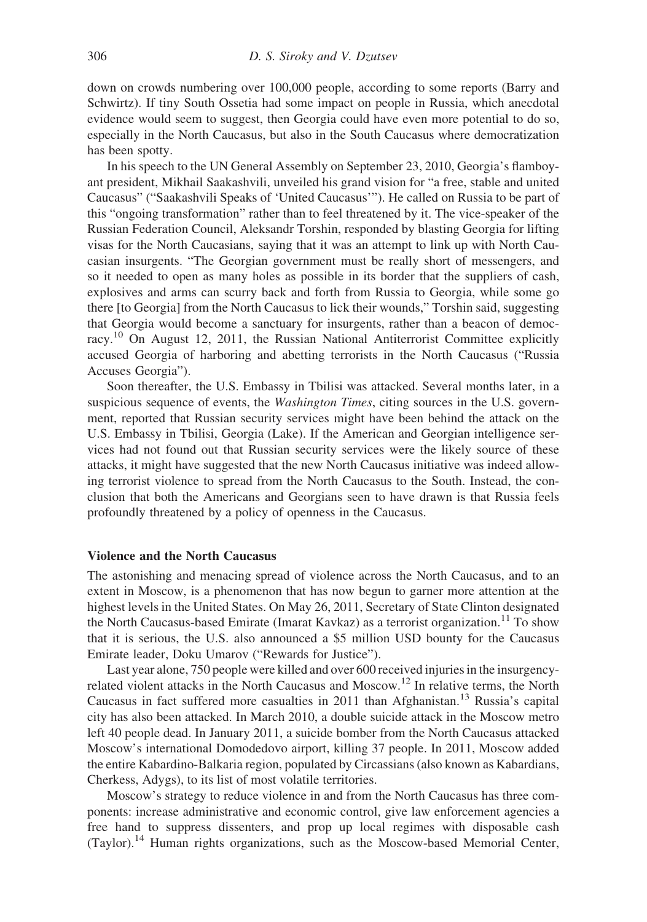down on crowds numbering over 100,000 people, according to some reports (Barry and Schwirtz). If tiny South Ossetia had some impact on people in Russia, which anecdotal evidence would seem to suggest, then Georgia could have even more potential to do so, especially in the North Caucasus, but also in the South Caucasus where democratization has been spotty.

In his speech to the UN General Assembly on September 23, 2010, Georgia's flamboyant president, Mikhail Saakashvili, unveiled his grand vision for "a free, stable and united Caucasus" ("Saakashvili Speaks of 'United Caucasus'"). He called on Russia to be part of this "ongoing transformation" rather than to feel threatened by it. The vice-speaker of the Russian Federation Council, Aleksandr Torshin, responded by blasting Georgia for lifting visas for the North Caucasians, saying that it was an attempt to link up with North Caucasian insurgents. "The Georgian government must be really short of messengers, and so it needed to open as many holes as possible in its border that the suppliers of cash, explosives and arms can scurry back and forth from Russia to Georgia, while some go there [to Georgia] from the North Caucasus to lick their wounds," Torshin said, suggesting that Georgia would become a sanctuary for insurgents, rather than a beacon of democracy.<sup>10</sup> On August 12, 2011, the Russian National Antiterrorist Committee explicitly accused Georgia of harboring and abetting terrorists in the North Caucasus ("Russia Accuses Georgia").

Soon thereafter, the U.S. Embassy in Tbilisi was attacked. Several months later, in a suspicious sequence of events, the *Washington Times*, citing sources in the U.S. government, reported that Russian security services might have been behind the attack on the U.S. Embassy in Tbilisi, Georgia (Lake). If the American and Georgian intelligence services had not found out that Russian security services were the likely source of these attacks, it might have suggested that the new North Caucasus initiative was indeed allowing terrorist violence to spread from the North Caucasus to the South. Instead, the conclusion that both the Americans and Georgians seen to have drawn is that Russia feels profoundly threatened by a policy of openness in the Caucasus.

#### Violence and the North Caucasus

The astonishing and menacing spread of violence across the North Caucasus, and to an extent in Moscow, is a phenomenon that has now begun to garner more attention at the highest levels in the United States. On May 26, 2011, Secretary of State Clinton designated the North Caucasus-based Emirate (Imarat Kavkaz) as a terrorist organization.<sup>11</sup> To show that it is serious, the U.S. also announced a \$5 million USD bounty for the Caucasus Emirate leader, Doku Umarov ("Rewards for Justice").

Last year alone, 750 people were killed and over 600 received injuries in the insurgencyrelated violent attacks in the North Caucasus and Moscow.<sup>12</sup> In relative terms, the North Caucasus in fact suffered more casualties in 2011 than Afghanistan.<sup>13</sup> Russia's capital city has also been attacked. In March 2010, a double suicide attack in the Moscow metro left 40 people dead. In January 2011, a suicide bomber from the North Caucasus attacked Moscow's international Domodedovo airport, killing 37 people. In 2011, Moscow added the entire Kabardino-Balkaria region, populated by Circassians (also known as Kabardians, Cherkess, Adygs), to its list of most volatile territories.

Moscow's strategy to reduce violence in and from the North Caucasus has three components: increase administrative and economic control, give law enforcement agencies a free hand to suppress dissenters, and prop up local regimes with disposable cash (Taylor).<sup>14</sup> Human rights organizations, such as the Moscow-based Memorial Center,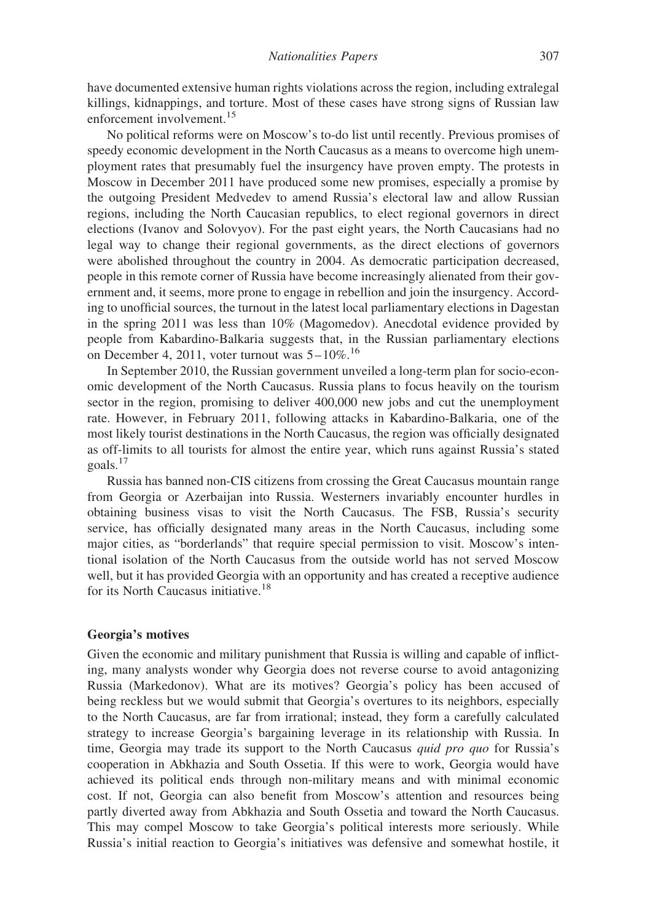have documented extensive human rights violations across the region, including extralegal killings, kidnappings, and torture. Most of these cases have strong signs of Russian law enforcement involvement.<sup>15</sup>

No political reforms were on Moscow's to-do list until recently. Previous promises of speedy economic development in the North Caucasus as a means to overcome high unemployment rates that presumably fuel the insurgency have proven empty. The protests in Moscow in December 2011 have produced some new promises, especially a promise by the outgoing President Medvedev to amend Russia's electoral law and allow Russian regions, including the North Caucasian republics, to elect regional governors in direct elections (Ivanov and Solovyov). For the past eight years, the North Caucasians had no legal way to change their regional governments, as the direct elections of governors were abolished throughout the country in 2004. As democratic participation decreased, people in this remote corner of Russia have become increasingly alienated from their government and, it seems, more prone to engage in rebellion and join the insurgency. According to unofficial sources, the turnout in the latest local parliamentary elections in Dagestan in the spring 2011 was less than 10% (Magomedov). Anecdotal evidence provided by people from Kabardino-Balkaria suggests that, in the Russian parliamentary elections on December 4, 2011, voter turnout was  $5-10\%$ .<sup>16</sup>

In September 2010, the Russian government unveiled a long-term plan for socio-economic development of the North Caucasus. Russia plans to focus heavily on the tourism sector in the region, promising to deliver 400,000 new jobs and cut the unemployment rate. However, in February 2011, following attacks in Kabardino-Balkaria, one of the most likely tourist destinations in the North Caucasus, the region was officially designated as off-limits to all tourists for almost the entire year, which runs against Russia's stated goals. $17$ 

Russia has banned non-CIS citizens from crossing the Great Caucasus mountain range from Georgia or Azerbaijan into Russia. Westerners invariably encounter hurdles in obtaining business visas to visit the North Caucasus. The FSB, Russia's security service, has officially designated many areas in the North Caucasus, including some major cities, as "borderlands" that require special permission to visit. Moscow's intentional isolation of the North Caucasus from the outside world has not served Moscow well, but it has provided Georgia with an opportunity and has created a receptive audience for its North Caucasus initiative.<sup>18</sup>

# Georgia's motives

Given the economic and military punishment that Russia is willing and capable of inflicting, many analysts wonder why Georgia does not reverse course to avoid antagonizing Russia (Markedonov). What are its motives? Georgia's policy has been accused of being reckless but we would submit that Georgia's overtures to its neighbors, especially to the North Caucasus, are far from irrational; instead, they form a carefully calculated strategy to increase Georgia's bargaining leverage in its relationship with Russia. In time, Georgia may trade its support to the North Caucasus *quid pro quo* for Russia's cooperation in Abkhazia and South Ossetia. If this were to work, Georgia would have achieved its political ends through non-military means and with minimal economic cost. If not, Georgia can also benefit from Moscow's attention and resources being partly diverted away from Abkhazia and South Ossetia and toward the North Caucasus. This may compel Moscow to take Georgia's political interests more seriously. While Russia's initial reaction to Georgia's initiatives was defensive and somewhat hostile, it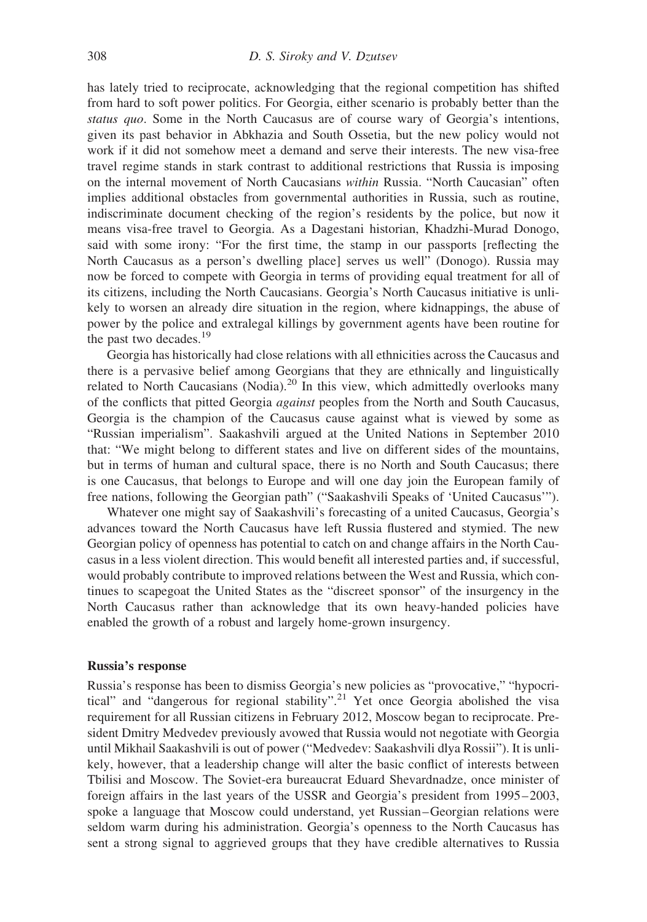has lately tried to reciprocate, acknowledging that the regional competition has shifted from hard to soft power politics. For Georgia, either scenario is probably better than the status quo. Some in the North Caucasus are of course wary of Georgia's intentions, given its past behavior in Abkhazia and South Ossetia, but the new policy would not work if it did not somehow meet a demand and serve their interests. The new visa-free travel regime stands in stark contrast to additional restrictions that Russia is imposing on the internal movement of North Caucasians within Russia. "North Caucasian" often implies additional obstacles from governmental authorities in Russia, such as routine, indiscriminate document checking of the region's residents by the police, but now it means visa-free travel to Georgia. As a Dagestani historian, Khadzhi-Murad Donogo, said with some irony: "For the first time, the stamp in our passports [reflecting the North Caucasus as a person's dwelling place] serves us well" (Donogo). Russia may now be forced to compete with Georgia in terms of providing equal treatment for all of its citizens, including the North Caucasians. Georgia's North Caucasus initiative is unlikely to worsen an already dire situation in the region, where kidnappings, the abuse of power by the police and extralegal killings by government agents have been routine for the past two decades.<sup>19</sup>

Georgia has historically had close relations with all ethnicities across the Caucasus and there is a pervasive belief among Georgians that they are ethnically and linguistically related to North Caucasians (Nodia).<sup>20</sup> In this view, which admittedly overlooks many of the conflicts that pitted Georgia against peoples from the North and South Caucasus, Georgia is the champion of the Caucasus cause against what is viewed by some as "Russian imperialism". Saakashvili argued at the United Nations in September 2010 that: "We might belong to different states and live on different sides of the mountains, but in terms of human and cultural space, there is no North and South Caucasus; there is one Caucasus, that belongs to Europe and will one day join the European family of free nations, following the Georgian path" ("Saakashvili Speaks of 'United Caucasus'").

Whatever one might say of Saakashvili's forecasting of a united Caucasus, Georgia's advances toward the North Caucasus have left Russia flustered and stymied. The new Georgian policy of openness has potential to catch on and change affairs in the North Caucasus in a less violent direction. This would benefit all interested parties and, if successful, would probably contribute to improved relations between the West and Russia, which continues to scapegoat the United States as the "discreet sponsor" of the insurgency in the North Caucasus rather than acknowledge that its own heavy-handed policies have enabled the growth of a robust and largely home-grown insurgency.

#### Russia's response

Russia's response has been to dismiss Georgia's new policies as "provocative," "hypocritical" and "dangerous for regional stability".<sup>21</sup> Yet once Georgia abolished the visa requirement for all Russian citizens in February 2012, Moscow began to reciprocate. President Dmitry Medvedev previously avowed that Russia would not negotiate with Georgia until Mikhail Saakashvili is out of power ("Medvedev: Saakashvili dlya Rossii"). It is unlikely, however, that a leadership change will alter the basic conflict of interests between Tbilisi and Moscow. The Soviet-era bureaucrat Eduard Shevardnadze, once minister of foreign affairs in the last years of the USSR and Georgia's president from 1995–2003, spoke a language that Moscow could understand, yet Russian–Georgian relations were seldom warm during his administration. Georgia's openness to the North Caucasus has sent a strong signal to aggrieved groups that they have credible alternatives to Russia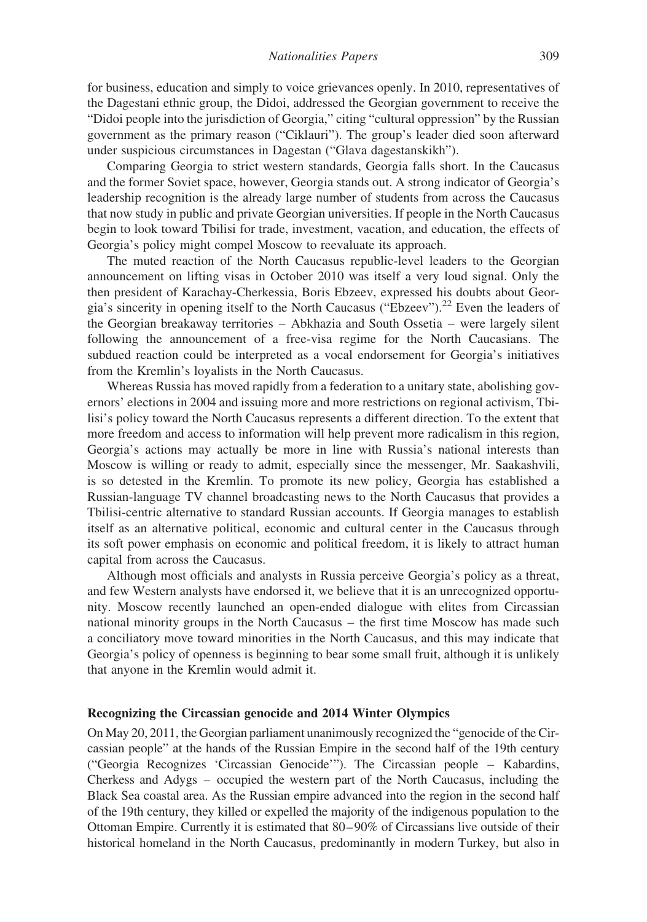for business, education and simply to voice grievances openly. In 2010, representatives of the Dagestani ethnic group, the Didoi, addressed the Georgian government to receive the "Didoi people into the jurisdiction of Georgia," citing "cultural oppression" by the Russian government as the primary reason ("Ciklauri"). The group's leader died soon afterward under suspicious circumstances in Dagestan ("Glava dagestanskikh").

Comparing Georgia to strict western standards, Georgia falls short. In the Caucasus and the former Soviet space, however, Georgia stands out. A strong indicator of Georgia's leadership recognition is the already large number of students from across the Caucasus that now study in public and private Georgian universities. If people in the North Caucasus begin to look toward Tbilisi for trade, investment, vacation, and education, the effects of Georgia's policy might compel Moscow to reevaluate its approach.

The muted reaction of the North Caucasus republic-level leaders to the Georgian announcement on lifting visas in October 2010 was itself a very loud signal. Only the then president of Karachay-Cherkessia, Boris Ebzeev, expressed his doubts about Georgia's sincerity in opening itself to the North Caucasus ("Ebzeev").<sup>22</sup> Even the leaders of the Georgian breakaway territories – Abkhazia and South Ossetia – were largely silent following the announcement of a free-visa regime for the North Caucasians. The subdued reaction could be interpreted as a vocal endorsement for Georgia's initiatives from the Kremlin's loyalists in the North Caucasus.

Whereas Russia has moved rapidly from a federation to a unitary state, abolishing governors' elections in 2004 and issuing more and more restrictions on regional activism, Tbilisi's policy toward the North Caucasus represents a different direction. To the extent that more freedom and access to information will help prevent more radicalism in this region, Georgia's actions may actually be more in line with Russia's national interests than Moscow is willing or ready to admit, especially since the messenger, Mr. Saakashvili, is so detested in the Kremlin. To promote its new policy, Georgia has established a Russian-language TV channel broadcasting news to the North Caucasus that provides a Tbilisi-centric alternative to standard Russian accounts. If Georgia manages to establish itself as an alternative political, economic and cultural center in the Caucasus through its soft power emphasis on economic and political freedom, it is likely to attract human capital from across the Caucasus.

Although most officials and analysts in Russia perceive Georgia's policy as a threat, and few Western analysts have endorsed it, we believe that it is an unrecognized opportunity. Moscow recently launched an open-ended dialogue with elites from Circassian national minority groups in the North Caucasus – the first time Moscow has made such a conciliatory move toward minorities in the North Caucasus, and this may indicate that Georgia's policy of openness is beginning to bear some small fruit, although it is unlikely that anyone in the Kremlin would admit it.

### Recognizing the Circassian genocide and 2014 Winter Olympics

On May 20, 2011, the Georgian parliament unanimously recognized the "genocide of the Circassian people" at the hands of the Russian Empire in the second half of the 19th century ("Georgia Recognizes 'Circassian Genocide'"). The Circassian people – Kabardins, Cherkess and Adygs – occupied the western part of the North Caucasus, including the Black Sea coastal area. As the Russian empire advanced into the region in the second half of the 19th century, they killed or expelled the majority of the indigenous population to the Ottoman Empire. Currently it is estimated that 80–90% of Circassians live outside of their historical homeland in the North Caucasus, predominantly in modern Turkey, but also in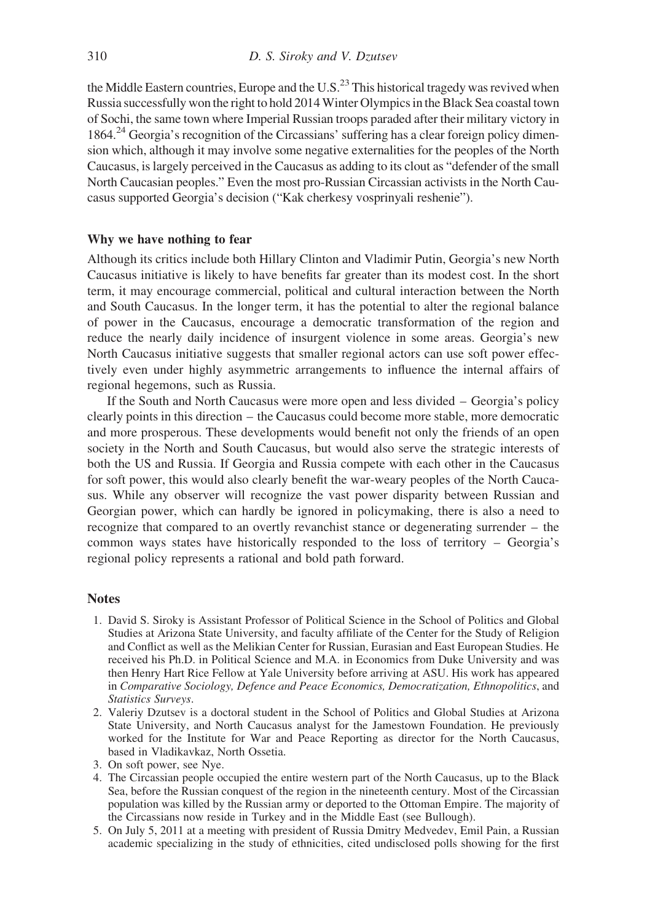the Middle Eastern countries, Europe and the U.S.<sup>23</sup> This historical tragedy was revived when Russia successfully won the right to hold 2014 Winter Olympics in the Black Sea coastal town of Sochi, the same town where Imperial Russian troops paraded after their military victory in 1864.<sup>24</sup> Georgia's recognition of the Circassians' suffering has a clear foreign policy dimension which, although it may involve some negative externalities for the peoples of the North Caucasus, is largely perceived in the Caucasus as adding to its clout as "defender of the small North Caucasian peoples." Even the most pro-Russian Circassian activists in the North Caucasus supported Georgia's decision ("Kak cherkesy vosprinyali reshenie").

## Why we have nothing to fear

Although its critics include both Hillary Clinton and Vladimir Putin, Georgia's new North Caucasus initiative is likely to have benefits far greater than its modest cost. In the short term, it may encourage commercial, political and cultural interaction between the North and South Caucasus. In the longer term, it has the potential to alter the regional balance of power in the Caucasus, encourage a democratic transformation of the region and reduce the nearly daily incidence of insurgent violence in some areas. Georgia's new North Caucasus initiative suggests that smaller regional actors can use soft power effectively even under highly asymmetric arrangements to influence the internal affairs of regional hegemons, such as Russia.

If the South and North Caucasus were more open and less divided – Georgia's policy clearly points in this direction – the Caucasus could become more stable, more democratic and more prosperous. These developments would benefit not only the friends of an open society in the North and South Caucasus, but would also serve the strategic interests of both the US and Russia. If Georgia and Russia compete with each other in the Caucasus for soft power, this would also clearly benefit the war-weary peoples of the North Caucasus. While any observer will recognize the vast power disparity between Russian and Georgian power, which can hardly be ignored in policymaking, there is also a need to recognize that compared to an overtly revanchist stance or degenerating surrender – the common ways states have historically responded to the loss of territory – Georgia's regional policy represents a rational and bold path forward.

### **Notes**

- 1. David S. Siroky is Assistant Professor of Political Science in the School of Politics and Global Studies at Arizona State University, and faculty affiliate of the Center for the Study of Religion and Conflict as well as the Melikian Center for Russian, Eurasian and East European Studies. He received his Ph.D. in Political Science and M.A. in Economics from Duke University and was then Henry Hart Rice Fellow at Yale University before arriving at ASU. His work has appeared in Comparative Sociology, Defence and Peace Economics, Democratization, Ethnopolitics, and Statistics Surveys.
- 2. Valeriy Dzutsev is a doctoral student in the School of Politics and Global Studies at Arizona State University, and North Caucasus analyst for the Jamestown Foundation. He previously worked for the Institute for War and Peace Reporting as director for the North Caucasus, based in Vladikavkaz, North Ossetia.
- 3. On soft power, see Nye.
- 4. The Circassian people occupied the entire western part of the North Caucasus, up to the Black Sea, before the Russian conquest of the region in the nineteenth century. Most of the Circassian population was killed by the Russian army or deported to the Ottoman Empire. The majority of the Circassians now reside in Turkey and in the Middle East (see Bullough).
- 5. On July 5, 2011 at a meeting with president of Russia Dmitry Medvedev, Emil Pain, a Russian academic specializing in the study of ethnicities, cited undisclosed polls showing for the first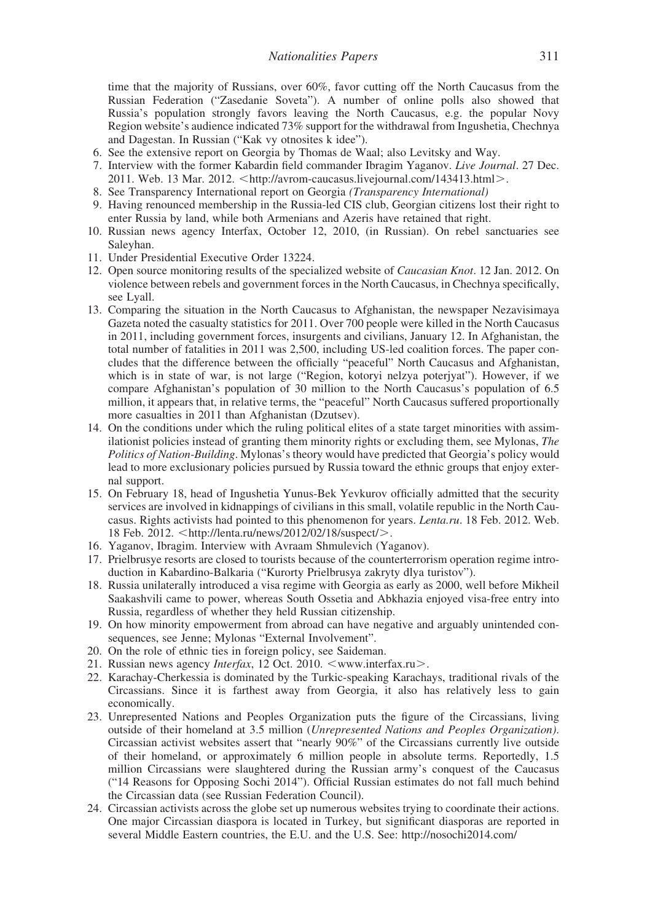time that the majority of Russians, over 60%, favor cutting off the North Caucasus from the Russian Federation ("Zasedanie Soveta"). A number of online polls also showed that Russia's population strongly favors leaving the North Caucasus, e.g. the popular Novy Region website's audience indicated 73% support for the withdrawal from Ingushetia, Chechnya and Dagestan. In Russian ("Kak vy otnosites k idee").

- 6. See the extensive report on Georgia by Thomas de Waal; also Levitsky and Way.
- 7. Interview with the former Kabardin field commander Ibragim Yaganov. Live Journal. 27 Dec. 2011. Web. 13 Mar. 2012. <<http://avrom-caucasus.livejournal.com/143413.html>>.
- 8. See Transparency International report on Georgia (Transparency International)
- 9. Having renounced membership in the Russia-led CIS club, Georgian citizens lost their right to enter Russia by land, while both Armenians and Azeris have retained that right.
- 10. Russian news agency Interfax, October 12, 2010, (in Russian). On rebel sanctuaries see Saleyhan.
- 11. Under Presidential Executive Order 13224.
- 12. Open source monitoring results of the specialized website of *Caucasian Knot*. 12 Jan. 2012. On violence between rebels and government forces in the North Caucasus, in Chechnya specifically, see Lyall.
- 13. Comparing the situation in the North Caucasus to Afghanistan, the newspaper Nezavisimaya Gazeta noted the casualty statistics for 2011. Over 700 people were killed in the North Caucasus in 2011, including government forces, insurgents and civilians, January 12. In Afghanistan, the total number of fatalities in 2011 was 2,500, including US-led coalition forces. The paper concludes that the difference between the officially "peaceful" North Caucasus and Afghanistan, which is in state of war, is not large ("Region, kotoryi nelzya poterjyat"). However, if we compare Afghanistan's population of 30 million to the North Caucasus's population of 6.5 million, it appears that, in relative terms, the "peaceful" North Caucasus suffered proportionally more casualties in 2011 than Afghanistan (Dzutsev).
- 14. On the conditions under which the ruling political elites of a state target minorities with assimilationist policies instead of granting them minority rights or excluding them, see Mylonas, The Politics of Nation-Building. Mylonas's theory would have predicted that Georgia's policy would lead to more exclusionary policies pursued by Russia toward the ethnic groups that enjoy external support.
- 15. On February 18, head of Ingushetia Yunus-Bek Yevkurov officially admitted that the security services are involved in kidnappings of civilians in this small, volatile republic in the North Caucasus. Rights activists had pointed to this phenomenon for years. Lenta.ru. 18 Feb. 2012. Web. 18 Feb. 2012.  $\lt$ <http://lenta.ru/news/2012/02/18/suspect/> $\gt$ .
- 16. Yaganov, Ibragim. Interview with Avraam Shmulevich (Yaganov).
- 17. Prielbrusye resorts are closed to tourists because of the counterterrorism operation regime introduction in Kabardino-Balkaria ("Kurorty Prielbrusya zakryty dlya turistov").
- 18. Russia unilaterally introduced a visa regime with Georgia as early as 2000, well before Mikheil Saakashvili came to power, whereas South Ossetia and Abkhazia enjoyed visa-free entry into Russia, regardless of whether they held Russian citizenship.
- 19. On how minority empowerment from abroad can have negative and arguably unintended consequences, see Jenne; Mylonas "External Involvement".
- 20. On the role of ethnic ties in foreign policy, see Saideman.
- 21. Russian news agency *Interfax*, 12 Oct. 2010.  $\leq$ [www.interfax.ru](http://www.interfax.ru) $\geq$ .
- 22. Karachay-Cherkessia is dominated by the Turkic-speaking Karachays, traditional rivals of the Circassians. Since it is farthest away from Georgia, it also has relatively less to gain economically.
- 23. Unrepresented Nations and Peoples Organization puts the figure of the Circassians, living outside of their homeland at 3.5 million (Unrepresented Nations and Peoples Organization). Circassian activist websites assert that "nearly 90%" of the Circassians currently live outside of their homeland, or approximately 6 million people in absolute terms. Reportedly, 1.5 million Circassians were slaughtered during the Russian army's conquest of the Caucasus ("14 Reasons for Opposing Sochi 2014"). Official Russian estimates do not fall much behind the Circassian data (see Russian Federation Council).
- 24. Circassian activists across the globe set up numerous websites trying to coordinate their actions. One major Circassian diaspora is located in Turkey, but significant diasporas are reported in several Middle Eastern countries, the E.U. and the U.S. See:<http://nosochi2014.com/>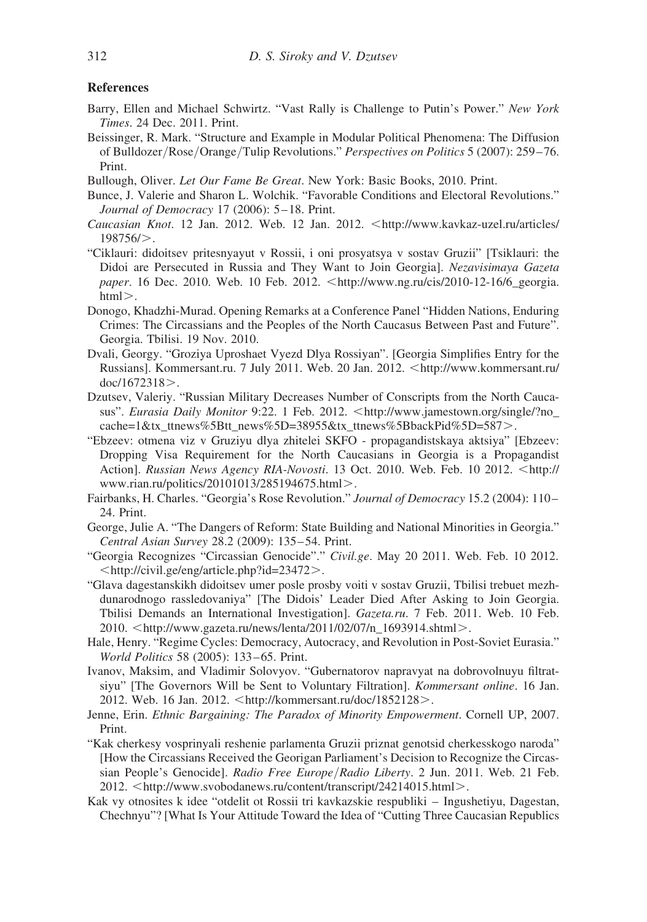# References

- Barry, Ellen and Michael Schwirtz. "Vast Rally is Challenge to Putin's Power." New York Times. 24 Dec. 2011. Print.
- Beissinger, R. Mark. "Structure and Example in Modular Political Phenomena: The Diffusion of Bulldozer/Rose/Orange/Tulip Revolutions." Perspectives on Politics 5 (2007): 259–76. Print.
- Bullough, Oliver. Let Our Fame Be Great. New York: Basic Books, 2010. Print.
- Bunce, J. Valerie and Sharon L. Wolchik. "Favorable Conditions and Electoral Revolutions." Journal of Democracy 17 (2006): 5–18. Print.
- Caucasian Knot. 12 Jan. 2012. Web. 12 Jan. 2012. <[http://www.kavkaz-uzel.ru/articles/](http://www.kavkaz-uzel.ru/articles/198756/)  $198756/$ .
- "Ciklauri: didoitsev pritesnyayut v Rossii, i oni prosyatsya v sostav Gruzii" [Tsiklauri: the Didoi are Persecuted in Russia and They Want to Join Georgia]. Nezavisimaya Gazeta paper. 16 Dec. 2010. Web. 10 Feb. 2012. <[http://www.ng.ru/cis/2010-12-16/6\\_georgia.](http://www.ng.ru/cis/2010-12-16/6_georgia.html) [html](http://www.ng.ru/cis/2010-12-16/6_georgia.html)>.
- Donogo, Khadzhi-Murad. Opening Remarks at a Conference Panel "Hidden Nations, Enduring Crimes: The Circassians and the Peoples of the North Caucasus Between Past and Future". Georgia. Tbilisi. 19 Nov. 2010.
- Dvali, Georgy. "Groziya Uproshaet Vyezd Dlya Rossiyan". [Georgia Simplifies Entry for the Russians]. Kommersant.ru. 7 July 2011. Web. 20 Jan. 2012. <[http://www.kommersant.ru/](http://www.kommersant.ru/doc/1672318)  $doc/1672318.$  $doc/1672318.$ .
- Dzutsev, Valeriy. "Russian Military Decreases Number of Conscripts from the North Caucasus". *Eurasia Daily Monitor* 9:22. 1 Feb. 2012.  $\lt$ http://www.jamestown.org/single/?no [cache=1&tx\\_ttnews%5Btt\\_news%5D=38955&tx\\_ttnews%5BbackPid%5D=587](http://www.jamestown.org/single/?no_cache=1&tx_ttnews%5Btt_news%5D=38955&tx_ttnews%5BbackPid%5D=587)>.
- "Ebzeev: otmena viz v Gruziyu dlya zhitelei SKFO propagandistskaya aktsiya" [Ebzeev: Dropping Visa Requirement for the North Caucasians in Georgia is a Propagandist Action]. Russian News Agency RIA-Novosti. 13 Oct. 2010. Web. Feb. 10 2012. <[http://](http://www.rian.ru/politics/20101013/285194675.html) [www.rian.ru/politics/20101013/285194675.html](http://www.rian.ru/politics/20101013/285194675.html)>.
- Fairbanks, H. Charles. "Georgia's Rose Revolution." Journal of Democracy 15.2 (2004): 110– 24. Print.
- George, Julie A. "The Dangers of Reform: State Building and National Minorities in Georgia." Central Asian Survey 28.2 (2009): 135–54. Print.
- "Georgia Recognizes "Circassian Genocide"." Civil.ge. May 20 2011. Web. Feb. 10 2012. <<http://civil.ge/eng/article.php?id=23472>>.
- "Glava dagestanskikh didoitsev umer posle prosby voiti v sostav Gruzii, Tbilisi trebuet mezhdunarodnogo rassledovaniya" [The Didois' Leader Died After Asking to Join Georgia. Tbilisi Demands an International Investigation]. Gazeta.ru. 7 Feb. 2011. Web. 10 Feb.  $2010.$  < [http://www.gazeta.ru/news/lenta/2011/02/07/n\\_1693914.shtml](http://www.gazeta.ru/news/lenta/2011/02/07/n_1693914.shtml)>.
- Hale, Henry. "Regime Cycles: Democracy, Autocracy, and Revolution in Post-Soviet Eurasia." World Politics 58 (2005): 133–65. Print.
- Ivanov, Maksim, and Vladimir Solovyov. "Gubernatorov napravyat na dobrovolnuyu filtratsiyu" [The Governors Will be Sent to Voluntary Filtration]. Kommersant online. 16 Jan. 2012. Web. 16 Jan. 2012. <<http://kommersant.ru/doc/1852128>>.
- Jenne, Erin. Ethnic Bargaining: The Paradox of Minority Empowerment. Cornell UP, 2007. Print.
- "Kak cherkesy vosprinyali reshenie parlamenta Gruzii priznat genotsid cherkesskogo naroda" [How the Circassians Received the Georigan Parliament's Decision to Recognize the Circassian People's Genocide]. Radio Free Europe/Radio Liberty. 2 Jun. 2011. Web. 21 Feb.  $2012.$  <<http://www.svobodanews.ru/content/transcript/24214015.html>>.
- Kak vy otnosites k idee "otdelit ot Rossii tri kavkazskie respubliki Ingushetiyu, Dagestan, Chechnyu"? [What Is Your Attitude Toward the Idea of "Cutting Three Caucasian Republics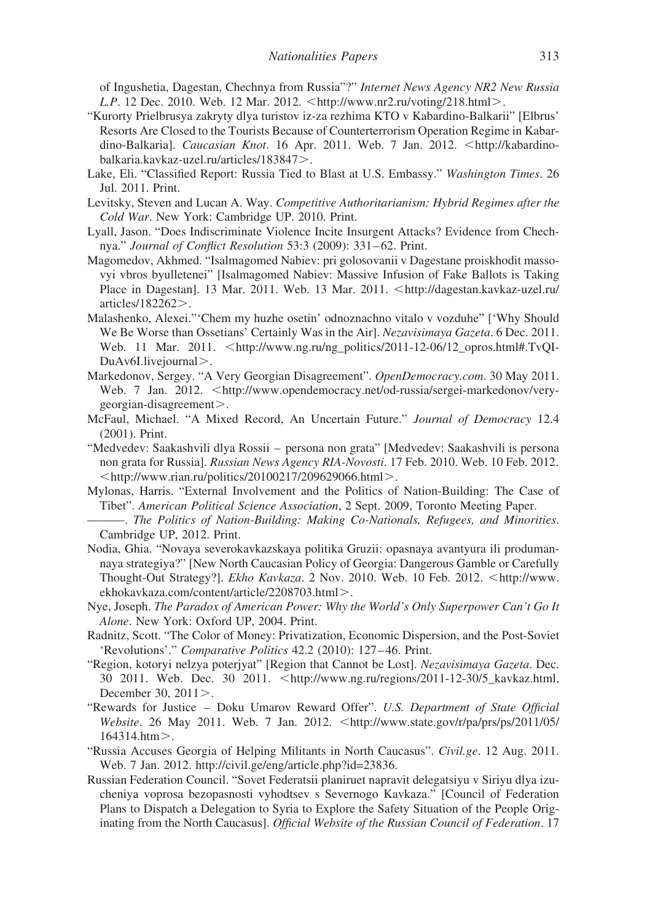of Ingushetia, Dagestan, Chechnya from Russia"?" Internet News Agency NR2 New Russia  $L.P.$  12 Dec. 2010. Web. 12 Mar. 2012. <<http://www.nr2.ru/voting/218.html>>.

- "Kurorty Prielbrusya zakryty dlya turistov iz-za rezhima KTO v Kabardino-Balkarii" [Elbrus' Resorts Are Closed to the Tourists Because of Counterterrorism Operation Regime in Kabardino-Balkaria]. Caucasian Knot. 16 Apr. 2011. Web. 7 Jan. 2012. <[http://kabardino](http://kabardino-balkaria.kavkaz-uzel.ru/articles/183847)[balkaria.kavkaz-uzel.ru/articles/183847](http://kabardino-balkaria.kavkaz-uzel.ru/articles/183847)>.
- Lake, Eli. "Classified Report: Russia Tied to Blast at U.S. Embassy." Washington Times. 26 Jul. 2011. Print.
- Levitsky, Steven and Lucan A. Way. Competitive Authoritarianism: Hybrid Regimes after the Cold War. New York: Cambridge UP. 2010. Print.
- Lyall, Jason. "Does Indiscriminate Violence Incite Insurgent Attacks? Evidence from Chechnya." Journal of Conflict Resolution 53:3 (2009): 331–62. Print.
- Magomedov, Akhmed. "Isalmagomed Nabiev: pri golosovanii v Dagestane proiskhodit massovyi vbros byulletenei" [Isalmagomed Nabiev: Massive Infusion of Fake Ballots is Taking Place in Dagestan]. 13 Mar. 2011. Web. 13 Mar. 2011. <[http://dagestan.kavkaz-uzel.ru/](http://dagestan.kavkaz-uzel.ru/articles/182262) [articles/182262](http://dagestan.kavkaz-uzel.ru/articles/182262)>[.](http://dagestan.kavkaz-uzel.ru/articles/182262)
- Malashenko, Alexei."'Chem my huzhe osetin' odnoznachno vitalo v vozduhe" ['Why Should We Be Worse than Ossetians' Certainly Was in the Air]. Nezavisimaya Gazeta. 6 Dec. 2011. Web. 11 Mar. 2011.  $\langle h_{\text{t}}(w,w,ng,\text{ru/ng}\bar{w})\rangle = 12.06/12 \text{ opro} \cdot \text{a} \cdot \text{t} \cdot \text{m}$ [DuAv6I.livejournal](http://www.ng.ru/ng_politics/2011-12-06/12_opros.html#.TvQI-DuAv6I.livejournal)>.
- Markedonov, Sergey. "A Very Georgian Disagreement". OpenDemocracy.com. 30 May 2011. Web. 7 Jan. 2012. <[http://www.opendemocracy.net/od-russia/sergei-markedonov/very](http://www.opendemocracy.net/od-russia/sergei-markedonov/very-georgian-disagreement)[georgian-disagreement](http://www.opendemocracy.net/od-russia/sergei-markedonov/very-georgian-disagreement)..
- McFaul, Michael. "A Mixed Record, An Uncertain Future." Journal of Democracy 12.4 (2001). Print.
- "Medvedev: Saakashvili dlya Rossii persona non grata" [Medvedev: Saakashvili is persona non grata for Russia]. Russian News Agency RIA-Novosti. 17 Feb. 2010. Web. 10 Feb. 2012.  $\langle$ <http://www.rian.ru/politics/20100217/209629066.html> $\rangle$ .
- Mylonas, Harris. "External Involvement and the Politics of Nation-Building: The Case of Tibet". American Political Science Association, 2 Sept. 2009, Toronto Meeting Paper.

———. The Politics of Nation-Building: Making Co-Nationals, Refugees, and Minorities. Cambridge UP, 2012. Print.

- Nodia, Ghia. "Novaya severokavkazskaya politika Gruzii: opasnaya avantyura ili produmannaya strategiya?" [New North Caucasian Policy of Georgia: Dangerous Gamble or Carefully Thought-Out Strategy?]. Ekho Kavkaza. 2 Nov. 2010. Web. 10 Feb. 2012. <[http://www.](http://www.ekhokavkaza.com/content/article/2208703.html) [ekhokavkaza.com/content/article/2208703.html](http://www.ekhokavkaza.com/content/article/2208703.html)>.
- Nye, Joseph. The Paradox of American Power: Why the World's Only Superpower Can't Go It Alone. New York: Oxford UP, 2004. Print.
- Radnitz, Scott. "The Color of Money: Privatization, Economic Dispersion, and the Post-Soviet 'Revolutions'." Comparative Politics 42.2 (2010): 127–46. Print.
- "Region, kotoryi nelzya poterjyat" [Region that Cannot be Lost]. Nezavisimaya Gazeta. Dec. 30 2011. Web. Dec. 30 2011.  $\lt$ http://www.ng.ru/regions/2011-12-30/5 kavkaz.html, December 30,  $2011$ .
- "Rewards for Justice Doku Umarov Reward Offer". U.S. Department of State Official Website. 26 May 2011. Web. 7 Jan. 2012. <[http://www.state.gov/r/pa/prs/ps/2011/05/](http://www.state.gov/r/pa/prs/ps/2011/05/164314.htm)  $164314.htm$ .
- "Russia Accuses Georgia of Helping Militants in North Caucasus". Civil.ge. 12 Aug. 2011. Web. 7 Jan. 2012.<http://civil.ge/eng/article.php?id=23836>.
- Russian Federation Council. "Sovet Federatsii planiruet napravit delegatsiyu v Siriyu dlya izucheniya voprosa bezopasnosti vyhodtsev s Severnogo Kavkaza." [Council of Federation Plans to Dispatch a Delegation to Syria to Explore the Safety Situation of the People Originating from the North Caucasus]. Official Website of the Russian Council of Federation. 17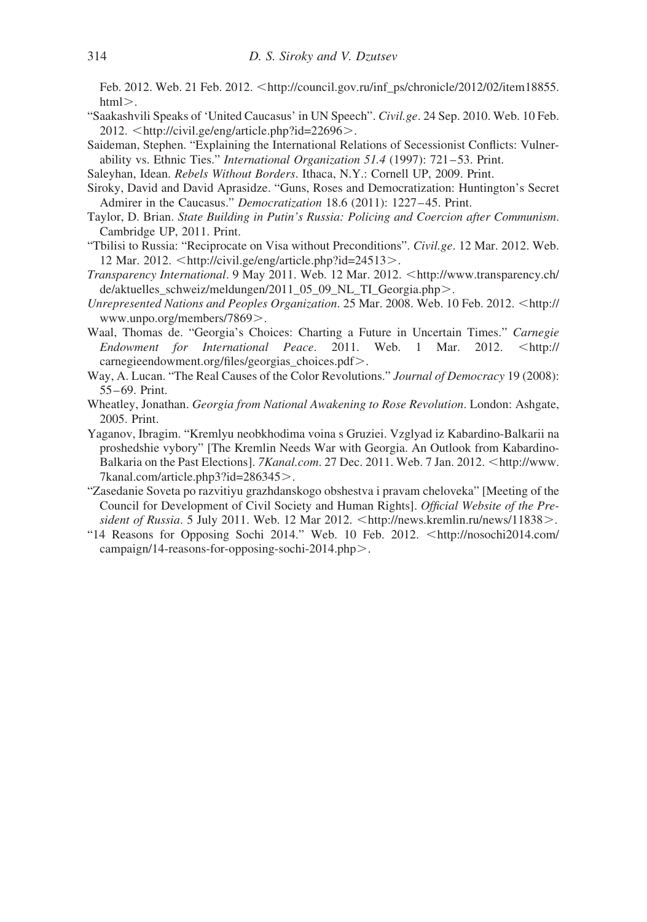Feb. 2012. Web. 21 Feb. 2012.  $\lt$ [http://council.gov.ru/inf\\_ps/chronicle/2012/02/item18855.](http://council.gov.ru/inf_ps/chronicle/2012/02/item18855.html)  $html$ .

- "Saakashvili Speaks of 'United Caucasus' in UN Speech". Civil.ge. 24 Sep. 2010. Web. 10 Feb.  $2012.$  < <http://civil.ge/eng/article.php?id=22696>>.
- Saideman, Stephen. "Explaining the International Relations of Secessionist Conflicts: Vulnerability vs. Ethnic Ties." International Organization 51.4 (1997): 721–53. Print.
- Saleyhan, Idean. Rebels Without Borders. Ithaca, N.Y.: Cornell UP, 2009. Print.
- Siroky, David and David Aprasidze. "Guns, Roses and Democratization: Huntington's Secret Admirer in the Caucasus." Democratization 18.6 (2011): 1227–45. Print.
- Taylor, D. Brian. State Building in Putin's Russia: Policing and Coercion after Communism. Cambridge UP, 2011. Print.
- "Tbilisi to Russia: "Reciprocate on Visa without Preconditions". Civil.ge. 12 Mar. 2012. Web. 12 Mar. 2012.  $\lt$ <http://civil.ge/eng/article.php?id=24513>>.
- Transparency International. 9 May 2011. Web. 12 Mar. 2012. <[http://www.transparency.ch/](http://www.transparency.ch/de/aktuelles_schweiz/meldungen/2011_05_09_NL_TI_Georgia.php) [de/aktuelles\\_schweiz/meldungen/2011\\_05\\_09\\_NL\\_TI\\_Georgia.php](http://www.transparency.ch/de/aktuelles_schweiz/meldungen/2011_05_09_NL_TI_Georgia.php) $>$ .
- Unrepresented Nations and Peoples Organization. 25 Mar. 2008. Web. 10 Feb. 2012. <[http://](http://www.unpo.org/members/7869) [www.unpo.org/members/7869](http://www.unpo.org/members/7869)>.
- Waal, Thomas de. "Georgia's Choices: Charting a Future in Uncertain Times." Carnegie  $Endowment$  for International Peace. 2011. Web. 1 Mar. 2012.  $\lt$ [http://](http://carnegieendowment.org/files/georgias_choices.pdf) [carnegieendowment.org/files/georgias\\_choices.pdf](http://carnegieendowment.org/files/georgias_choices.pdf)>.
- Way, A. Lucan. "The Real Causes of the Color Revolutions." *Journal of Democracy* 19 (2008): 55–69. Print.
- Wheatley, Jonathan. Georgia from National Awakening to Rose Revolution. London: Ashgate, 2005. Print.
- Yaganov, Ibragim. "Kremlyu neobkhodima voina s Gruziei. Vzglyad iz Kabardino-Balkarii na proshedshie vybory" [The Kremlin Needs War with Georgia. An Outlook from KabardinoBalkaria on the Past Elections]. 7Kanal.com. 27 Dec. 2011. Web. 7 Jan. 2012. <[http://www.](http://www.7kanal.com/article.php3?id=286345) [7kanal.com/article.php3?id=286345](http://www.7kanal.com/article.php3?id=286345)>.
- "Zasedanie Soveta po razvitiyu grazhdanskogo obshestva i pravam cheloveka" [Meeting of the Council for Development of Civil Society and Human Rights]. Official Website of the President of Russia. 5 July 2011. Web. 12 Mar 2012.  $\lt$ <http://news.kremlin.ru/news/11838> $>$ .
- "14 Reasons for Opposing Sochi 2014." Web. 10 Feb. 2012. <[http://nosochi2014.com/](http://nosochi2014.com/campaign/14-reasons-for-opposing-sochi-2014.php) [campaign/14-reasons-for-opposing-sochi-2014.php](http://nosochi2014.com/campaign/14-reasons-for-opposing-sochi-2014.php) $>$ .